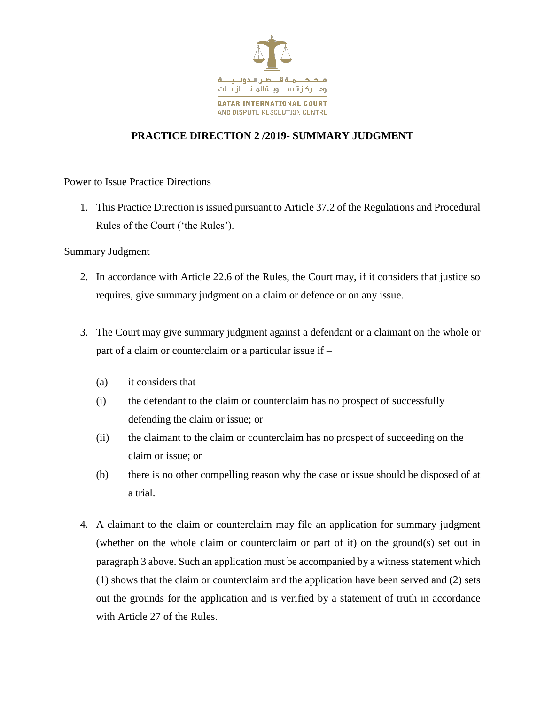

## **PRACTICE DIRECTION 2 /2019- SUMMARY JUDGMENT**

Power to Issue Practice Directions

1. This Practice Direction is issued pursuant to Article 37.2 of the Regulations and Procedural Rules of the Court ('the Rules').

## Summary Judgment

- 2. In accordance with Article 22.6 of the Rules, the Court may, if it considers that justice so requires, give summary judgment on a claim or defence or on any issue.
- 3. The Court may give summary judgment against a defendant or a claimant on the whole or part of a claim or counterclaim or a particular issue if –
	- (a) it considers that  $-$
	- (i) the defendant to the claim or counterclaim has no prospect of successfully defending the claim or issue; or
	- (ii) the claimant to the claim or counterclaim has no prospect of succeeding on the claim or issue; or
	- (b) there is no other compelling reason why the case or issue should be disposed of at a trial.
- 4. A claimant to the claim or counterclaim may file an application for summary judgment (whether on the whole claim or counterclaim or part of it) on the ground(s) set out in paragraph 3 above. Such an application must be accompanied by a witness statement which (1) shows that the claim or counterclaim and the application have been served and (2) sets out the grounds for the application and is verified by a statement of truth in accordance with Article 27 of the Rules.